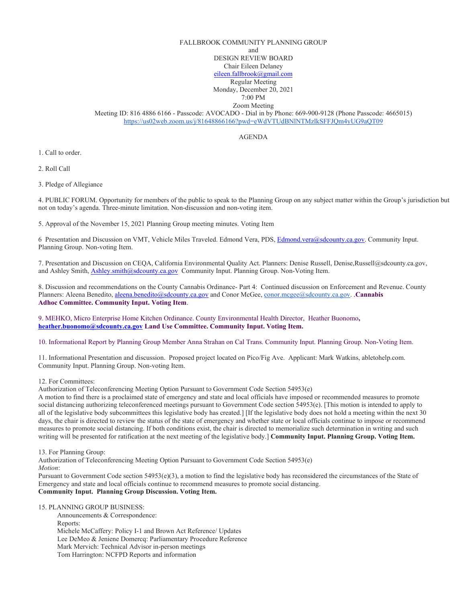## FALLBROOK COMMUNITY PLANNING GROUP and

DESIGN REVIEW BOARD Chair Eileen Delaney [eileen.fallbrook@gmail.com](mailto:eileen.fallbrook@gmail.com) Regular Meeting

Monday, December 20, 2021

7:00 PM Zoom Meeting

Meeting ID: 816 4886 6166 - Passcode: AVOCADO - Dial in by Phone: 669-900-9128 (Phone Passcode: 4665015) <https://us02web.zoom.us/j/81648866166?pwd=eWdVTUdBNlNTMzlkSFFJQm4yUG9aQT09>

AGENDA

1. Call to order.

2. Roll Call

3. Pledge of Allegiance

4. PUBLIC FORUM. Opportunity for members of the public to speak to the Planning Group on any subject matter within the Group's jurisdiction but not on today's agenda. Three-minute limitation. Non-discussion and non-voting item.

5. Approval of the November 15, 2021 Planning Group meeting minutes. Voting Item

6 Presentation and Discussion on VMT, Vehicle Miles Traveled. Edmond Vera, PDS[, Edmond.vera@sdcounty.ca.gov.](mailto:Edmond.vera@sdcounty.ca.gov) Community Input. Planning Group. Non-voting Item.

7. Presentation and Discussion on CEQA, California Environmental Quality Act. Planners: Denise Russell, Denise,Russell@sdcounty.ca.gov, and Ashley Smith[, Ashley.smith@sdcounty.ca.gov](mailto:Ashley.smith@sdcounty.ca.gov) Community Input. Planning Group. Non-Voting Item.

8. Discussion and recommendations on the County Cannabis Ordinance- Part 4: Continued discussion on Enforcement and Revenue. County Planners: Aleena Benedito, [aleena.benedito@sdcounty.ca.gov](mailto:aleena.benedito@sdcounty.ca.gov) and Conor McGee, [conor.mcgee@sdcounty.ca.gov.](mailto:conor.mcgee@sdcounty.ca.gov) .**Cannabis Adhoc Committee. Community Input. Voting Item**.

9. MEHKO, Micro Enterprise Home Kitchen Ordinance. County Environmental Health Director, Heather Buonomo**, [heather.buonomo@sdcounty.ca.gov](mailto:heather.buonomo@sdcounty.ca.gov) Land Use Committee. Community Input. Voting Item.** 

10. Informational Report by Planning Group Member Anna Strahan on Cal Trans. Community Input. Planning Group. Non-Voting Item.

11. Informational Presentation and discussion. Proposed project located on Pico/Fig Ave. Applicant: Mark Watkins, abletohelp.com. Community Input. Planning Group. Non-voting Item.

12. For Committees:

Authorization of Teleconferencing Meeting Option Pursuant to Government Code Section 54953(e)

A motion to find there is a proclaimed state of emergency and state and local officials have imposed or recommended measures to promote social distancing authorizing teleconferenced meetings pursuant to Government Code section 54953(e). [This motion is intended to apply to all of the legislative body subcommittees this legislative body has created.] [If the legislative body does not hold a meeting within the next 30 days, the chair is directed to review the status of the state of emergency and whether state or local officials continue to impose or recommend measures to promote social distancing. If both conditions exist, the chair is directed to memorialize such determination in writing and such writing will be presented for ratification at the next meeting of the legislative body.] **Community Input. Planning Group. Voting Item.**

13. For Planning Group:

Authorization of Teleconferencing Meeting Option Pursuant to Government Code Section 54953(e) *Motion*:

Pursuant to Government Code section 54953(e)(3), a motion to find the legislative body has reconsidered the circumstances of the State of Emergency and state and local officials continue to recommend measures to promote social distancing. **Community Input. Planning Group Discussion. Voting Item.** 

15. PLANNING GROUP BUSINESS:

 Announcements & Correspondence: Reports: Michele McCaffery: Policy I-1 and Brown Act Reference/ Updates Lee DeMeo & Jeniene Domercq: Parliamentary Procedure Reference Mark Mervich: Technical Advisor in-person meetings Tom Harrington: NCFPD Reports and information